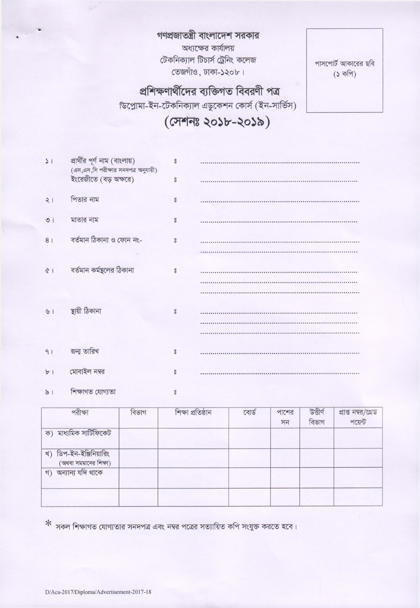গণপ্রজাতন্ত্রী বাংলাদেশ সরকার অধ্যক্ষের কার্যালয়

টেকনিক্যাল টিচার্স ট্রেনিং কলেজ

তেজগাঁও, ঢাকা-১২০৮।

পাসপোর্ট আকারের ছবি  $($ ১ কপি)

## প্রশিক্ষণার্থীদের ব্যক্তিগত বিবরণী পত্র

ডিপ্লোমা-ইন-টেকনিক্যাল এডুকেশন কোর্স (ইন-সার্ভিস)

## (সেশনঃ ২০১৮-২০১৯)

| $\sqrt{ }$       | প্রার্থীর পূর্ণ নাম (বাংলায়)<br>(এস,এস,সি পরীক্ষার সনদপত্র অনুযায়ী)<br>ইংরেজীতে (বড় অক্ষরে) | $\circ$<br>$\overline{\phantom{0}}$ |  |
|------------------|------------------------------------------------------------------------------------------------|-------------------------------------|--|
| 21               | পিতার নাম                                                                                      | $\rm ^{\circ}$                      |  |
| O <sub>1</sub>   | মাতার নাম                                                                                      | $\rm ^{\circ}$                      |  |
| 8 <sup>1</sup>   | বৰ্তমান ঠিকানা ও ফোন নং-                                                                       | $\rm ^{\circ}$                      |  |
| Q                | বর্তমান কর্মষ্থলের ঠিকানা                                                                      | $\rm ^{\circ}$                      |  |
| 61               | ছায়ী ঠিকানা                                                                                   | $\overline{\phantom{0}}$            |  |
| 91               | জন্ম তারিখ                                                                                     | $\rm ^{\circ}$                      |  |
| $b$ <sup>1</sup> | মোবাইল নম্বর                                                                                   | $\circ$                             |  |
| $\frac{1}{2}$    | শিক্ষাগত যোগ্যতা                                                                               | $\overline{\phantom{0}}$            |  |

| পরীক্ষা                                             | বিভাগ | শিক্ষা প্ৰতিষ্ঠান | বোর্ড | পাশের<br>সন | উত্তীৰ্ণ<br>বিভাগ | প্রাপ্ত নম্বর/গ্রেড<br>পয়েন্ট |
|-----------------------------------------------------|-------|-------------------|-------|-------------|-------------------|--------------------------------|
| ক) মাধ্যমিক সার্টিফিকেট                             |       |                   |       |             |                   |                                |
| ডিপ-ইন-ইঞ্জিনিয়ারিং<br>খ)<br>(অথবা সমমানের শিক্ষা) |       |                   |       |             |                   |                                |
| গ) অন্যান্য যদি থাকে                                |       |                   |       |             |                   |                                |
|                                                     |       |                   |       |             |                   |                                |

 $*$  সকল শিক্ষাগত যোগ্যতার সনদপত্র এবং নম্বর পত্রের সত্যায়িত কপি সংযুক্ত করতে হবে।